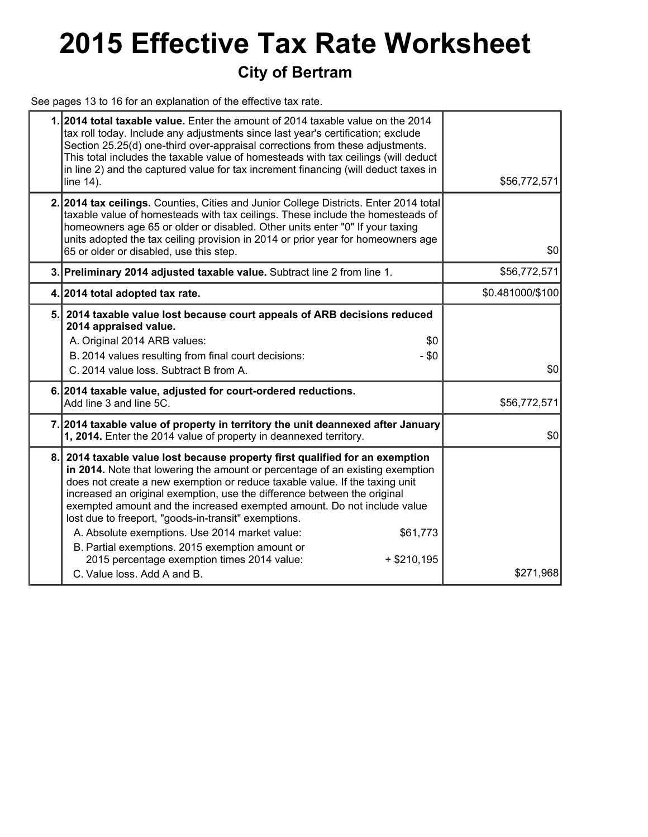# **2015 Effective Tax Rate Worksheet**

### **City of Bertram**

See pages 13 to 16 for an explanation of the effective tax rate.

|    | 1.2014 total taxable value. Enter the amount of 2014 taxable value on the 2014<br>tax roll today. Include any adjustments since last year's certification; exclude<br>Section 25.25(d) one-third over-appraisal corrections from these adjustments.<br>This total includes the taxable value of homesteads with tax ceilings (will deduct<br>in line 2) and the captured value for tax increment financing (will deduct taxes in<br>line 14).                                                                                                                                                                                                                            | \$56,772,571     |
|----|--------------------------------------------------------------------------------------------------------------------------------------------------------------------------------------------------------------------------------------------------------------------------------------------------------------------------------------------------------------------------------------------------------------------------------------------------------------------------------------------------------------------------------------------------------------------------------------------------------------------------------------------------------------------------|------------------|
|    | 2. 2014 tax ceilings. Counties, Cities and Junior College Districts. Enter 2014 total<br>taxable value of homesteads with tax ceilings. These include the homesteads of<br>homeowners age 65 or older or disabled. Other units enter "0" If your taxing<br>units adopted the tax ceiling provision in 2014 or prior year for homeowners age<br>65 or older or disabled, use this step.                                                                                                                                                                                                                                                                                   | \$0              |
|    | 3. Preliminary 2014 adjusted taxable value. Subtract line 2 from line 1.                                                                                                                                                                                                                                                                                                                                                                                                                                                                                                                                                                                                 | \$56,772,571     |
|    | 4. 2014 total adopted tax rate.                                                                                                                                                                                                                                                                                                                                                                                                                                                                                                                                                                                                                                          | \$0.481000/\$100 |
| 5. | 2014 taxable value lost because court appeals of ARB decisions reduced<br>2014 appraised value.<br>A. Original 2014 ARB values:<br>\$0<br>B. 2014 values resulting from final court decisions:<br>$- $0$<br>C. 2014 value loss. Subtract B from A.                                                                                                                                                                                                                                                                                                                                                                                                                       | \$0              |
|    | 6. 2014 taxable value, adjusted for court-ordered reductions.<br>Add line 3 and line 5C.                                                                                                                                                                                                                                                                                                                                                                                                                                                                                                                                                                                 | \$56,772,571     |
|    | 7. 2014 taxable value of property in territory the unit deannexed after January<br>1, 2014. Enter the 2014 value of property in deannexed territory.                                                                                                                                                                                                                                                                                                                                                                                                                                                                                                                     | \$0              |
| 8. | 2014 taxable value lost because property first qualified for an exemption<br>in 2014. Note that lowering the amount or percentage of an existing exemption<br>does not create a new exemption or reduce taxable value. If the taxing unit<br>increased an original exemption, use the difference between the original<br>exempted amount and the increased exempted amount. Do not include value<br>lost due to freeport, "goods-in-transit" exemptions.<br>A. Absolute exemptions. Use 2014 market value:<br>\$61,773<br>B. Partial exemptions. 2015 exemption amount or<br>2015 percentage exemption times 2014 value:<br>$+$ \$210,195<br>C. Value loss, Add A and B. | \$271,968        |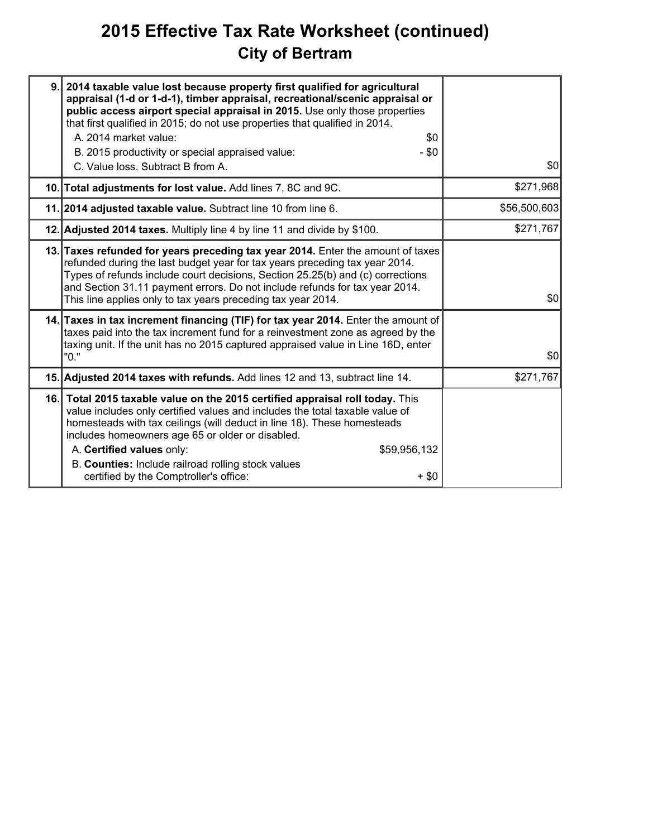# **2015 Effective Tax Rate Worksheet (continued) City of Bertram**

| 9. 2014 taxable value lost because property first qualified for agricultural<br>appraisal (1-d or 1-d-1), timber appraisal, recreational/scenic appraisal or<br>public access airport special appraisal in 2015. Use only those properties<br>that first qualified in 2015; do not use properties that qualified in 2014.<br>A. 2014 market value:<br>\$0<br>B. 2015 productivity or special appraised value:<br>$- $0$<br>C. Value loss. Subtract B from A. | \$0          |
|--------------------------------------------------------------------------------------------------------------------------------------------------------------------------------------------------------------------------------------------------------------------------------------------------------------------------------------------------------------------------------------------------------------------------------------------------------------|--------------|
| 10. Total adjustments for lost value. Add lines 7, 8C and 9C.                                                                                                                                                                                                                                                                                                                                                                                                | \$271,968    |
| 11. 2014 adjusted taxable value. Subtract line 10 from line 6.                                                                                                                                                                                                                                                                                                                                                                                               | \$56,500,603 |
| 12. Adjusted 2014 taxes. Multiply line 4 by line 11 and divide by \$100.                                                                                                                                                                                                                                                                                                                                                                                     | \$271,767    |
| 13. Taxes refunded for years preceding tax year 2014. Enter the amount of taxes<br>refunded during the last budget year for tax years preceding tax year 2014.<br>Types of refunds include court decisions, Section 25.25(b) and (c) corrections<br>and Section 31.11 payment errors. Do not include refunds for tax year 2014.<br>This line applies only to tax years preceding tax year 2014.                                                              | \$0          |
| 14. Taxes in tax increment financing (TIF) for tax year 2014. Enter the amount of<br>taxes paid into the tax increment fund for a reinvestment zone as agreed by the<br>taxing unit. If the unit has no 2015 captured appraised value in Line 16D, enter<br>"0."                                                                                                                                                                                             | \$0          |
| 15. Adjusted 2014 taxes with refunds. Add lines 12 and 13, subtract line 14.                                                                                                                                                                                                                                                                                                                                                                                 | \$271,767    |
| 16. Total 2015 taxable value on the 2015 certified appraisal roll today. This<br>value includes only certified values and includes the total taxable value of<br>homesteads with tax ceilings (will deduct in line 18). These homesteads<br>includes homeowners age 65 or older or disabled.<br>A. Certified values only:<br>\$59,956,132<br>B. Counties: Include railroad rolling stock values<br>certified by the Comptroller's office:<br>$+$ \$0         |              |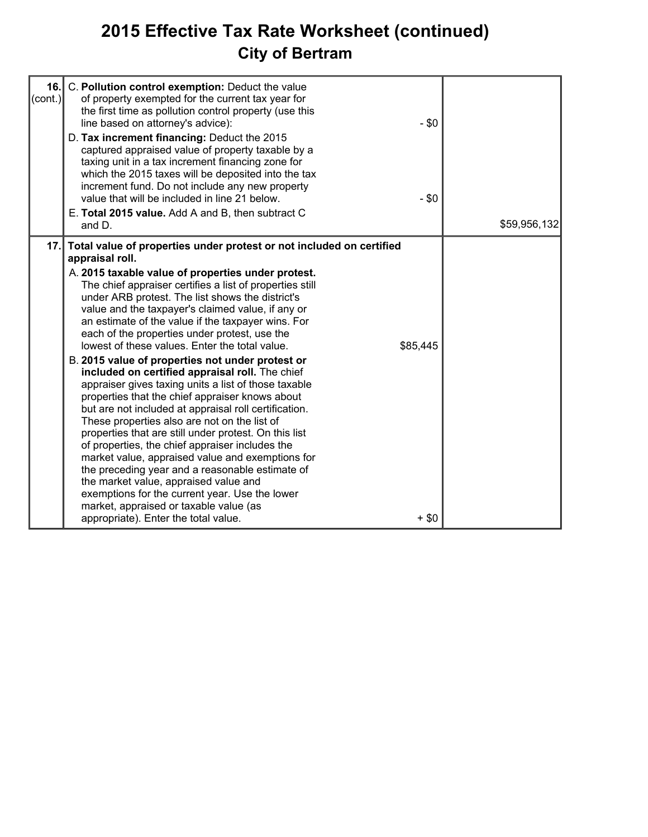# **2015 Effective Tax Rate Worksheet (continued) City of Bertram**

| 16.<br>$ (\mathsf{cont.}) $ | C. Pollution control exemption: Deduct the value<br>of property exempted for the current tax year for<br>the first time as pollution control property (use this<br>line based on attorney's advice):<br>D. Tax increment financing: Deduct the 2015<br>captured appraised value of property taxable by a<br>taxing unit in a tax increment financing zone for<br>which the 2015 taxes will be deposited into the tax<br>increment fund. Do not include any new property<br>value that will be included in line 21 below.<br>E. Total 2015 value. Add A and B, then subtract C<br>and D.                                                                                                                                                                                                                                                                                                                                                                                                                                                                                                                                                                                                                | $-$ \$0<br>$-$ \$0  | \$59,956,132 |
|-----------------------------|--------------------------------------------------------------------------------------------------------------------------------------------------------------------------------------------------------------------------------------------------------------------------------------------------------------------------------------------------------------------------------------------------------------------------------------------------------------------------------------------------------------------------------------------------------------------------------------------------------------------------------------------------------------------------------------------------------------------------------------------------------------------------------------------------------------------------------------------------------------------------------------------------------------------------------------------------------------------------------------------------------------------------------------------------------------------------------------------------------------------------------------------------------------------------------------------------------|---------------------|--------------|
| 17.1                        | Total value of properties under protest or not included on certified<br>appraisal roll.<br>A. 2015 taxable value of properties under protest.<br>The chief appraiser certifies a list of properties still<br>under ARB protest. The list shows the district's<br>value and the taxpayer's claimed value, if any or<br>an estimate of the value if the taxpayer wins. For<br>each of the properties under protest, use the<br>lowest of these values. Enter the total value.<br>B. 2015 value of properties not under protest or<br>included on certified appraisal roll. The chief<br>appraiser gives taxing units a list of those taxable<br>properties that the chief appraiser knows about<br>but are not included at appraisal roll certification.<br>These properties also are not on the list of<br>properties that are still under protest. On this list<br>of properties, the chief appraiser includes the<br>market value, appraised value and exemptions for<br>the preceding year and a reasonable estimate of<br>the market value, appraised value and<br>exemptions for the current year. Use the lower<br>market, appraised or taxable value (as<br>appropriate). Enter the total value. | \$85,445<br>$+$ \$0 |              |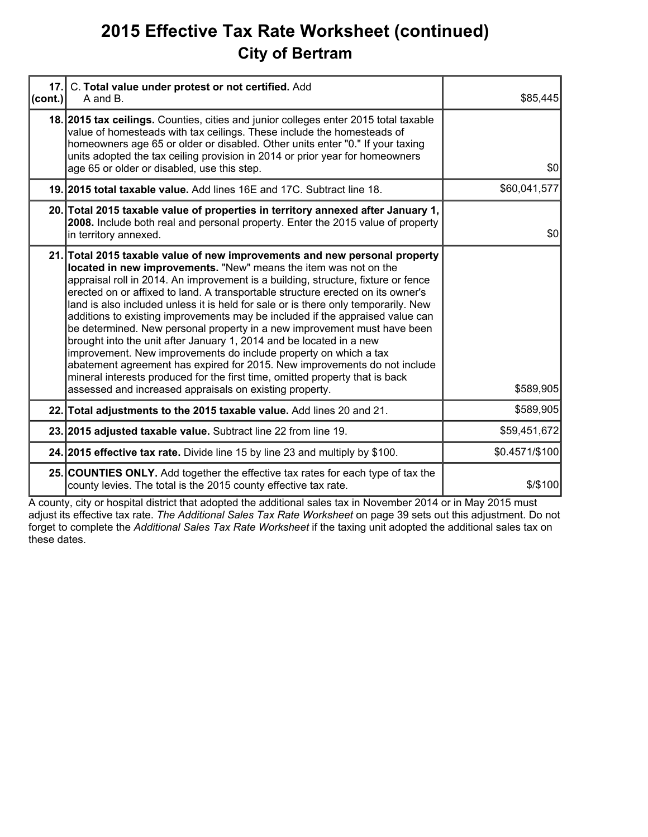### **2015 Effective Tax Rate Worksheet (continued) City of Bertram**

| 17.1<br>(cont.) | C. Total value under protest or not certified. Add<br>A and B.                                                                                                                                                                                                                                                                                                                                                                                                                                                                                                                                                                                                                                                                                                                                                                                                                                                                               | \$85,445       |
|-----------------|----------------------------------------------------------------------------------------------------------------------------------------------------------------------------------------------------------------------------------------------------------------------------------------------------------------------------------------------------------------------------------------------------------------------------------------------------------------------------------------------------------------------------------------------------------------------------------------------------------------------------------------------------------------------------------------------------------------------------------------------------------------------------------------------------------------------------------------------------------------------------------------------------------------------------------------------|----------------|
|                 | 18. 2015 tax cellings. Counties, cities and junior colleges enter 2015 total taxable<br>value of homesteads with tax ceilings. These include the homesteads of<br>homeowners age 65 or older or disabled. Other units enter "0." If your taxing<br>units adopted the tax ceiling provision in 2014 or prior year for homeowners<br>age 65 or older or disabled, use this step.                                                                                                                                                                                                                                                                                                                                                                                                                                                                                                                                                               | \$0            |
|                 | 19. 2015 total taxable value. Add lines 16E and 17C. Subtract line 18.                                                                                                                                                                                                                                                                                                                                                                                                                                                                                                                                                                                                                                                                                                                                                                                                                                                                       | \$60,041,577   |
|                 | 20. Total 2015 taxable value of properties in territory annexed after January 1,<br>2008. Include both real and personal property. Enter the 2015 value of property<br>in territory annexed.                                                                                                                                                                                                                                                                                                                                                                                                                                                                                                                                                                                                                                                                                                                                                 | \$0            |
|                 | 21. Total 2015 taxable value of new improvements and new personal property<br>located in new improvements. "New" means the item was not on the<br>appraisal roll in 2014. An improvement is a building, structure, fixture or fence<br>erected on or affixed to land. A transportable structure erected on its owner's<br>land is also included unless it is held for sale or is there only temporarily. New<br>additions to existing improvements may be included if the appraised value can<br>be determined. New personal property in a new improvement must have been<br>brought into the unit after January 1, 2014 and be located in a new<br>improvement. New improvements do include property on which a tax<br>abatement agreement has expired for 2015. New improvements do not include<br>mineral interests produced for the first time, omitted property that is back<br>assessed and increased appraisals on existing property. | \$589,905      |
|                 | 22. Total adjustments to the 2015 taxable value. Add lines 20 and 21.                                                                                                                                                                                                                                                                                                                                                                                                                                                                                                                                                                                                                                                                                                                                                                                                                                                                        | \$589,905      |
|                 | 23. 2015 adjusted taxable value. Subtract line 22 from line 19.                                                                                                                                                                                                                                                                                                                                                                                                                                                                                                                                                                                                                                                                                                                                                                                                                                                                              | \$59,451,672   |
|                 | 24. 2015 effective tax rate. Divide line 15 by line 23 and multiply by \$100.                                                                                                                                                                                                                                                                                                                                                                                                                                                                                                                                                                                                                                                                                                                                                                                                                                                                | \$0.4571/\$100 |
|                 | 25. COUNTIES ONLY. Add together the effective tax rates for each type of tax the<br>county levies. The total is the 2015 county effective tax rate.                                                                                                                                                                                                                                                                                                                                                                                                                                                                                                                                                                                                                                                                                                                                                                                          | \$/\$100       |

A county, city or hospital district that adopted the additional sales tax in November 2014 or in May 2015 must adjust its effective tax rate. *The Additional Sales Tax Rate Worksheet* on page 39 sets out this adjustment. Do not forget to complete the *Additional Sales Tax Rate Worksheet* if the taxing unit adopted the additional sales tax on these dates.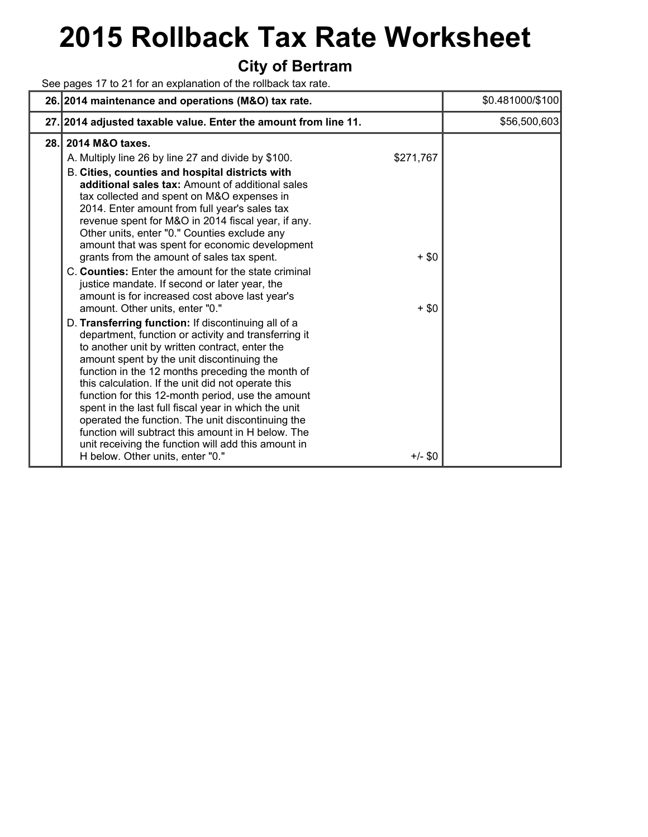# **2015 Rollback Tax Rate Worksheet**

#### **City of Bertram**

See pages 17 to 21 for an explanation of the rollback tax rate.

|      | 26. 2014 maintenance and operations (M&O) tax rate.                                                                                                                                                                                                                                                                                                                                                                                                                                                                                                                                                                                                                                                                                                                                                                                                                                                                                                                                                                                                                                                                                                                                                                                                                                                                          |                                              | \$0.481000/\$100 |
|------|------------------------------------------------------------------------------------------------------------------------------------------------------------------------------------------------------------------------------------------------------------------------------------------------------------------------------------------------------------------------------------------------------------------------------------------------------------------------------------------------------------------------------------------------------------------------------------------------------------------------------------------------------------------------------------------------------------------------------------------------------------------------------------------------------------------------------------------------------------------------------------------------------------------------------------------------------------------------------------------------------------------------------------------------------------------------------------------------------------------------------------------------------------------------------------------------------------------------------------------------------------------------------------------------------------------------------|----------------------------------------------|------------------|
|      | 27. 2014 adjusted taxable value. Enter the amount from line 11.                                                                                                                                                                                                                                                                                                                                                                                                                                                                                                                                                                                                                                                                                                                                                                                                                                                                                                                                                                                                                                                                                                                                                                                                                                                              |                                              | \$56,500,603     |
| 28.1 | 2014 M&O taxes.<br>A. Multiply line 26 by line 27 and divide by \$100.<br>B. Cities, counties and hospital districts with<br>additional sales tax: Amount of additional sales<br>tax collected and spent on M&O expenses in<br>2014. Enter amount from full year's sales tax<br>revenue spent for M&O in 2014 fiscal year, if any.<br>Other units, enter "0." Counties exclude any<br>amount that was spent for economic development<br>grants from the amount of sales tax spent.<br>C. Counties: Enter the amount for the state criminal<br>justice mandate. If second or later year, the<br>amount is for increased cost above last year's<br>amount. Other units, enter "0."<br>D. Transferring function: If discontinuing all of a<br>department, function or activity and transferring it<br>to another unit by written contract, enter the<br>amount spent by the unit discontinuing the<br>function in the 12 months preceding the month of<br>this calculation. If the unit did not operate this<br>function for this 12-month period, use the amount<br>spent in the last full fiscal year in which the unit<br>operated the function. The unit discontinuing the<br>function will subtract this amount in H below. The<br>unit receiving the function will add this amount in<br>H below. Other units, enter "0." | \$271,767<br>$+$ \$0<br>$+$ \$0<br>$+/-$ \$0 |                  |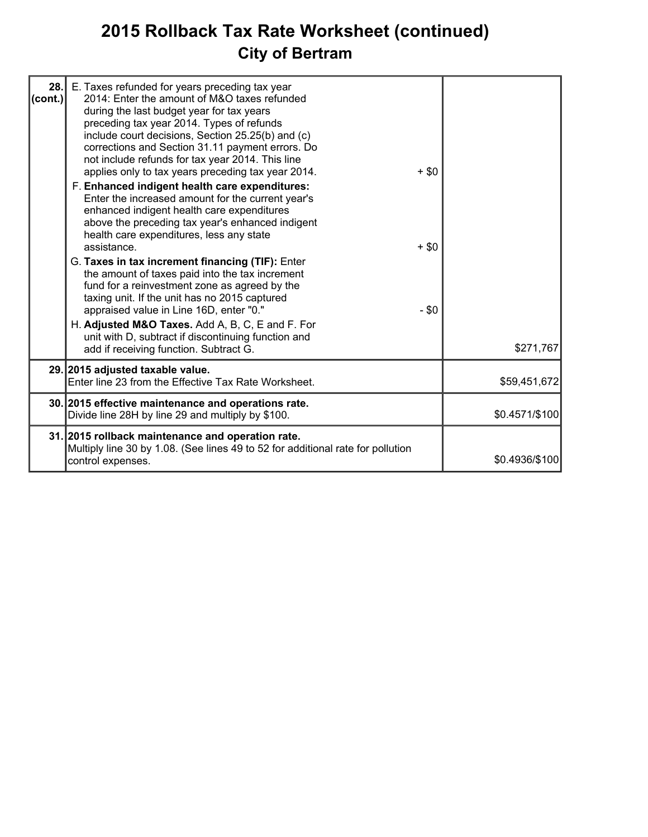# **2015 Rollback Tax Rate Worksheet (continued) City of Bertram**

| 28.1<br> cont. | E. Taxes refunded for years preceding tax year<br>2014: Enter the amount of M&O taxes refunded<br>during the last budget year for tax years<br>preceding tax year 2014. Types of refunds<br>include court decisions, Section 25.25(b) and (c)<br>corrections and Section 31.11 payment errors. Do<br>not include refunds for tax year 2014. This line<br>applies only to tax years preceding tax year 2014.<br>F. Enhanced indigent health care expenditures:<br>Enter the increased amount for the current year's<br>enhanced indigent health care expenditures<br>above the preceding tax year's enhanced indigent<br>health care expenditures, less any state<br>assistance.<br>G. Taxes in tax increment financing (TIF): Enter<br>the amount of taxes paid into the tax increment<br>fund for a reinvestment zone as agreed by the<br>taxing unit. If the unit has no 2015 captured<br>appraised value in Line 16D, enter "0." | $+$ \$0<br>$+$ \$0<br>$- $0$ |                |
|----------------|-------------------------------------------------------------------------------------------------------------------------------------------------------------------------------------------------------------------------------------------------------------------------------------------------------------------------------------------------------------------------------------------------------------------------------------------------------------------------------------------------------------------------------------------------------------------------------------------------------------------------------------------------------------------------------------------------------------------------------------------------------------------------------------------------------------------------------------------------------------------------------------------------------------------------------------|------------------------------|----------------|
|                | H. Adjusted M&O Taxes. Add A, B, C, E and F. For<br>unit with D, subtract if discontinuing function and<br>add if receiving function. Subtract G.                                                                                                                                                                                                                                                                                                                                                                                                                                                                                                                                                                                                                                                                                                                                                                                   |                              | \$271,767      |
|                | 29. 2015 adjusted taxable value.<br>Enter line 23 from the Effective Tax Rate Worksheet.                                                                                                                                                                                                                                                                                                                                                                                                                                                                                                                                                                                                                                                                                                                                                                                                                                            |                              | \$59,451,672   |
|                | 30. 2015 effective maintenance and operations rate.<br>Divide line 28H by line 29 and multiply by \$100.                                                                                                                                                                                                                                                                                                                                                                                                                                                                                                                                                                                                                                                                                                                                                                                                                            |                              | \$0.4571/\$100 |
|                | 31. 2015 rollback maintenance and operation rate.<br>Multiply line 30 by 1.08. (See lines 49 to 52 for additional rate for pollution<br>control expenses.                                                                                                                                                                                                                                                                                                                                                                                                                                                                                                                                                                                                                                                                                                                                                                           |                              | \$0.4936/\$100 |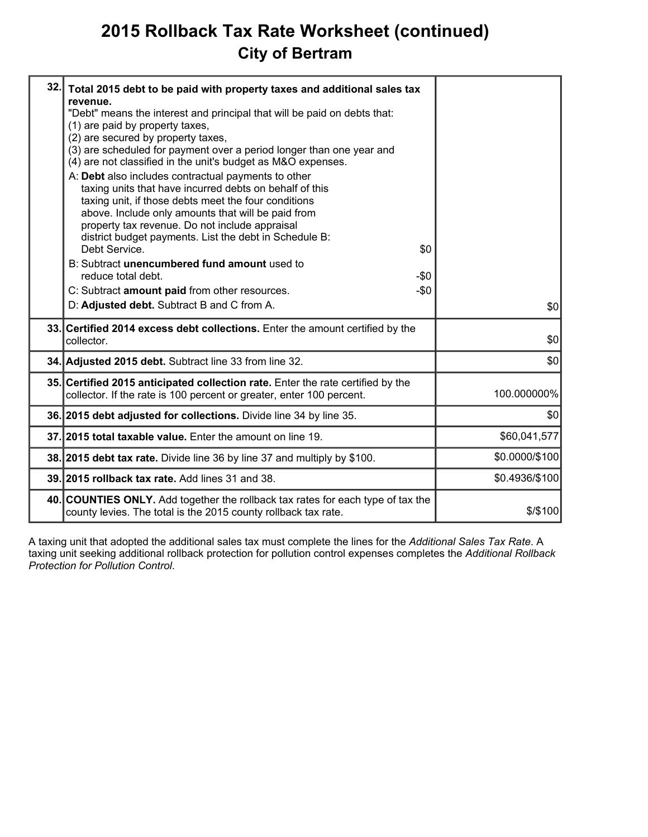### **2015 Rollback Tax Rate Worksheet (continued) City of Bertram**

| 32. | Total 2015 debt to be paid with property taxes and additional sales tax<br>revenue.<br>"Debt" means the interest and principal that will be paid on debts that:<br>(1) are paid by property taxes,<br>(2) are secured by property taxes,<br>(3) are scheduled for payment over a period longer than one year and<br>(4) are not classified in the unit's budget as M&O expenses.<br>A: Debt also includes contractual payments to other<br>taxing units that have incurred debts on behalf of this<br>taxing unit, if those debts meet the four conditions<br>above. Include only amounts that will be paid from<br>property tax revenue. Do not include appraisal<br>district budget payments. List the debt in Schedule B:<br>Debt Service.<br>\$0<br>B: Subtract unencumbered fund amount used to<br>reduce total debt.<br>-\$0<br>C: Subtract amount paid from other resources.<br>$-\$0$<br>D: Adjusted debt. Subtract B and C from A. | \$0            |
|-----|---------------------------------------------------------------------------------------------------------------------------------------------------------------------------------------------------------------------------------------------------------------------------------------------------------------------------------------------------------------------------------------------------------------------------------------------------------------------------------------------------------------------------------------------------------------------------------------------------------------------------------------------------------------------------------------------------------------------------------------------------------------------------------------------------------------------------------------------------------------------------------------------------------------------------------------------|----------------|
|     | 33. Certified 2014 excess debt collections. Enter the amount certified by the<br>collector.                                                                                                                                                                                                                                                                                                                                                                                                                                                                                                                                                                                                                                                                                                                                                                                                                                                 | \$0            |
|     | 34. Adjusted 2015 debt. Subtract line 33 from line 32.                                                                                                                                                                                                                                                                                                                                                                                                                                                                                                                                                                                                                                                                                                                                                                                                                                                                                      | \$0            |
|     | 35. Certified 2015 anticipated collection rate. Enter the rate certified by the<br>collector. If the rate is 100 percent or greater, enter 100 percent.                                                                                                                                                                                                                                                                                                                                                                                                                                                                                                                                                                                                                                                                                                                                                                                     | 100.000000%    |
|     | 36. 2015 debt adjusted for collections. Divide line 34 by line 35.                                                                                                                                                                                                                                                                                                                                                                                                                                                                                                                                                                                                                                                                                                                                                                                                                                                                          | \$0            |
|     | 37. 2015 total taxable value. Enter the amount on line 19.                                                                                                                                                                                                                                                                                                                                                                                                                                                                                                                                                                                                                                                                                                                                                                                                                                                                                  | \$60,041,577   |
|     | 38. 2015 debt tax rate. Divide line 36 by line 37 and multiply by \$100.                                                                                                                                                                                                                                                                                                                                                                                                                                                                                                                                                                                                                                                                                                                                                                                                                                                                    | \$0.0000/\$100 |
|     | 39. 2015 rollback tax rate. Add lines 31 and 38.                                                                                                                                                                                                                                                                                                                                                                                                                                                                                                                                                                                                                                                                                                                                                                                                                                                                                            | \$0.4936/\$100 |
|     | 40. COUNTIES ONLY. Add together the rollback tax rates for each type of tax the<br>county levies. The total is the 2015 county rollback tax rate.                                                                                                                                                                                                                                                                                                                                                                                                                                                                                                                                                                                                                                                                                                                                                                                           | $$$ /\$100     |
|     |                                                                                                                                                                                                                                                                                                                                                                                                                                                                                                                                                                                                                                                                                                                                                                                                                                                                                                                                             |                |

A taxing unit that adopted the additional sales tax must complete the lines for the *Additional Sales Tax Rate*. A taxing unit seeking additional rollback protection for pollution control expenses completes the *Additional Rollback Protection for Pollution Control*.